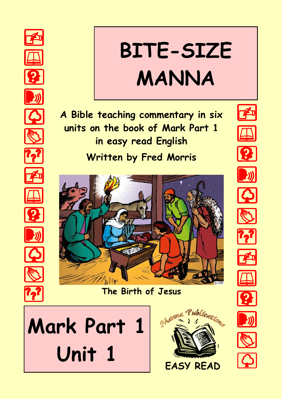

# **BITE-SIZE MANNA**

**A Bible teaching commentary in six units on the book of Mark Part 1 in easy read English Written by Fred Morris**



**The Birth of Jesus**







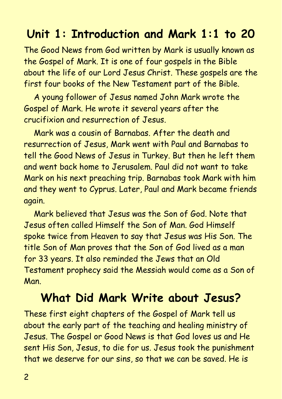## **Unit 1: Introduction and Mark 1:1 to 20**

The Good News from God written by Mark is usually known as the Gospel of Mark. It is one of four gospels in the Bible about the life of our Lord Jesus Christ. These gospels are the first four books of the New Testament part of the Bible.

A young follower of Jesus named John Mark wrote the Gospel of Mark. He wrote it several years after the crucifixion and resurrection of Jesus.

Mark was a cousin of Barnabas. After the death and resurrection of Jesus, Mark went with Paul and Barnabas to tell the Good News of Jesus in Turkey. But then he left them and went back home to Jerusalem. Paul did not want to take Mark on his next preaching trip. Barnabas took Mark with him and they went to Cyprus. Later, Paul and Mark became friends again.

Mark believed that Jesus was the Son of God. Note that Jesus often called Himself the Son of Man. God Himself spoke twice from Heaven to say that Jesus was His Son. The title Son of Man proves that the Son of God lived as a man for 33 years. It also reminded the Jews that an Old Testament prophecy said the Messiah would come as a Son of Man.

#### **What Did Mark Write about Jesus?**

These first eight chapters of the Gospel of Mark tell us about the early part of the teaching and healing ministry of Jesus. The Gospel or Good News is that God loves us and He sent His Son, Jesus, to die for us. Jesus took the punishment that we deserve for our sins, so that we can be saved. He is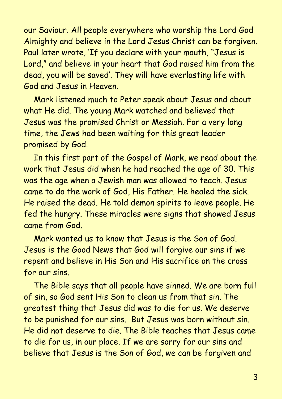our Saviour. All people everywhere who worship the Lord God Almighty and believe in the Lord Jesus Christ can be forgiven. Paul later wrote, 'If you declare with your mouth, "Jesus is Lord," and believe in your heart that God raised him from the dead, you will be saved'. They will have everlasting life with God and Jesus in Heaven.

Mark listened much to Peter speak about Jesus and about what He did. The young Mark watched and believed that Jesus was the promised Christ or Messiah. For a very long time, the Jews had been waiting for this great leader promised by God.

In this first part of the Gospel of Mark, we read about the work that Jesus did when he had reached the age of 30. This was the age when a Jewish man was allowed to teach. Jesus came to do the work of God, His Father. He healed the sick. He raised the dead. He told demon spirits to leave people. He fed the hungry. These miracles were signs that showed Jesus came from God.

Mark wanted us to know that Jesus is the Son of God. Jesus is the Good News that God will forgive our sins if we repent and believe in His Son and His sacrifice on the cross for our sins.

The Bible says that all people have sinned. We are born full of sin, so God sent His Son to clean us from that sin. The greatest thing that Jesus did was to die for us. We deserve to be punished for our sins. But Jesus was born without sin. He did not deserve to die. The Bible teaches that Jesus came to die for us, in our place. If we are sorry for our sins and believe that Jesus is the Son of God, we can be forgiven and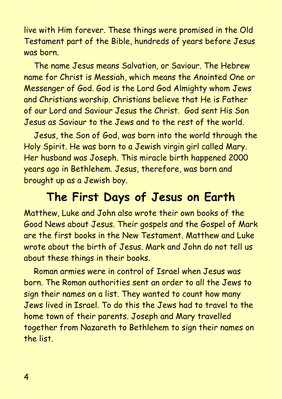live with Him forever. These things were promised in the Old Testament part of the Bible, hundreds of years before Jesus was born.

The name Jesus means Salvation, or Saviour. The Hebrew name for Christ is Messiah, which means the Anointed One or Messenger of God. God is the Lord God Almighty whom Jews and Christians worship. Christians believe that He is Father of our Lord and Saviour Jesus the Christ. God sent His Son Jesus as Saviour to the Jews and to the rest of the world.

Jesus, the Son of God, was born into the world through the Holy Spirit. He was born to a Jewish virgin girl called Mary. Her husband was Joseph. This miracle birth happened 2000 years ago in Bethlehem. Jesus, therefore, was born and brought up as a Jewish boy.

#### **The First Days of Jesus on Earth**

Matthew, Luke and John also wrote their own books of the Good News about Jesus. Their gospels and the Gospel of Mark are the first books in the New Testament. Matthew and Luke wrote about the birth of Jesus. Mark and John do not tell us about these things in their books.

Roman armies were in control of Israel when Jesus was born. The Roman authorities sent an order to all the Jews to sign their names on a list. They wanted to count how many Jews lived in Israel. To do this the Jews had to travel to the home town of their parents. Joseph and Mary travelled together from Nazareth to Bethlehem to sign their names on the list.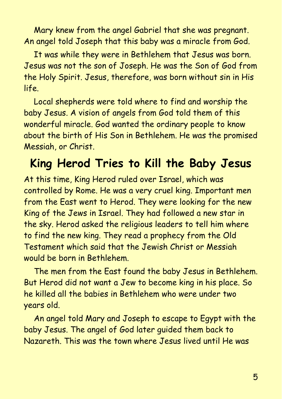Mary knew from the angel Gabriel that she was pregnant. An angel told Joseph that this baby was a miracle from God.

It was while they were in Bethlehem that Jesus was born. Jesus was not the son of Joseph. He was the Son of God from the Holy Spirit. Jesus, therefore, was born without sin in His life.

Local shepherds were told where to find and worship the baby Jesus. A vision of angels from God told them of this wonderful miracle. God wanted the ordinary people to know about the birth of His Son in Bethlehem. He was the promised Messiah, or Christ.

## **King Herod Tries to Kill the Baby Jesus**

At this time, King Herod ruled over Israel, which was controlled by Rome. He was a very cruel king. Important men from the East went to Herod. They were looking for the new King of the Jews in Israel. They had followed a new star in the sky. Herod asked the religious leaders to tell him where to find the new king. They read a prophecy from the Old Testament which said that the Jewish Christ or Messiah would be born in Bethlehem.

The men from the East found the baby Jesus in Bethlehem. But Herod did not want a Jew to become king in his place. So he killed all the babies in Bethlehem who were under two years old.

An angel told Mary and Joseph to escape to Egypt with the baby Jesus. The angel of God later guided them back to Nazareth. This was the town where Jesus lived until He was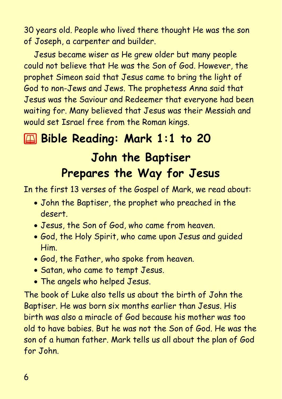30 years old. People who lived there thought He was the son of Joseph, a carpenter and builder.

Jesus became wiser as He grew older but many people could not believe that He was the Son of God. However, the prophet Simeon said that Jesus came to bring the light of God to non-Jews and Jews. The prophetess Anna said that Jesus was the Saviour and Redeemer that everyone had been waiting for. Many believed that Jesus was their Messiah and would set Israel free from the Roman kings.

# 2 **Bible Reading: Mark 1:1 to 20 John the Baptiser Prepares the Way for Jesus**

In the first 13 verses of the Gospel of Mark, we read about:

- John the Baptiser, the prophet who preached in the desert.
- Jesus, the Son of God, who came from heaven.
- God, the Holy Spirit, who came upon Jesus and guided Him.
- God, the Father, who spoke from heaven.
- Satan, who came to tempt Jesus.
- The angels who helped Jesus.

The book of Luke also tells us about the birth of John the Baptiser. He was born six months earlier than Jesus. His birth was also a miracle of God because his mother was too old to have babies. But he was not the Son of God. He was the son of a human father. Mark tells us all about the plan of God for John.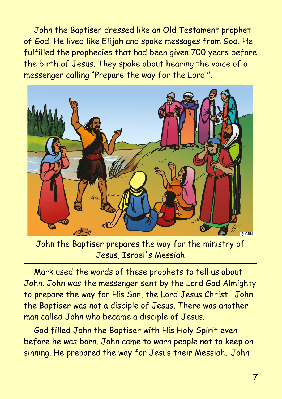John the Baptiser dressed like an Old Testament prophet of God. He lived like Elijah and spoke messages from God. He fulfilled the prophecies that had been given 700 years before the birth of Jesus. They spoke about hearing the voice of a messenger calling "Prepare the way for the Lord!".



Mark used the words of these prophets to tell us about John. John was the messenger sent by the Lord God Almighty to prepare the way for His Son, the Lord Jesus Christ. John the Baptiser was not a disciple of Jesus. There was another man called John who became a disciple of Jesus.

God filled John the Baptiser with His Holy Spirit even before he was born. John came to warn people not to keep on sinning. He prepared the way for Jesus their Messiah. 'John